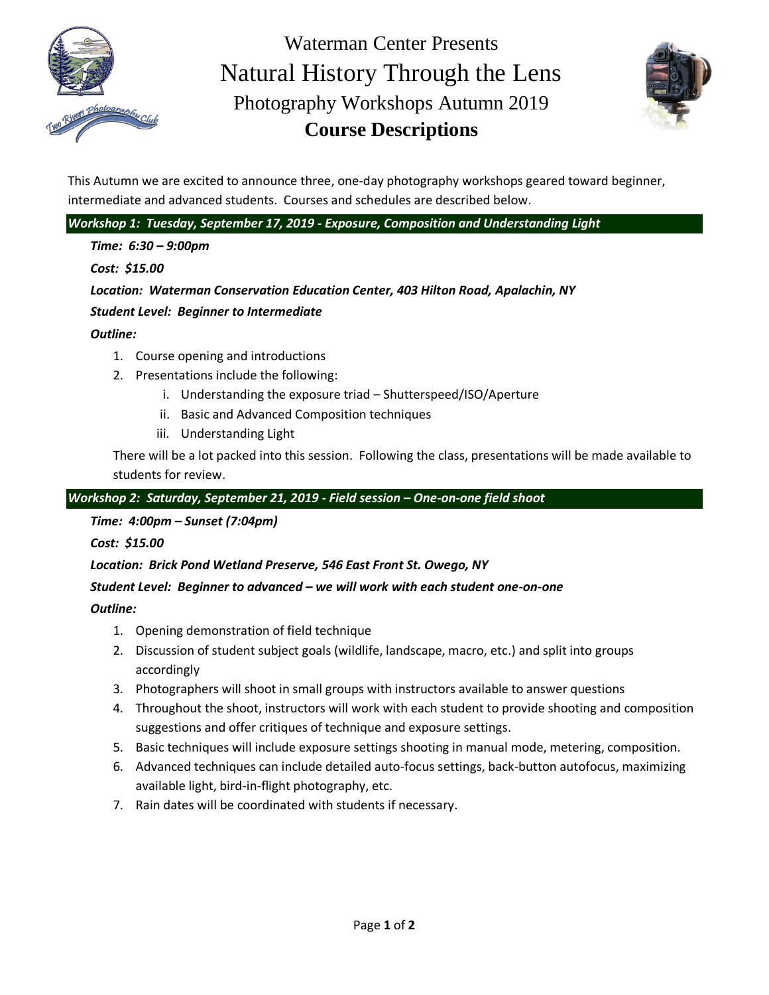

Waterman Center Presents Natural History Through the Lens Photography Workshops Autumn 2019 **Course Descriptions**



This Autumn we are excited to announce three, one-day photography workshops geared toward beginner, intermediate and advanced students. Courses and schedules are described below.

*Workshop 1: Tuesday, September 17, 2019 - Exposure, Composition and Understanding Light*

*Time: 6:30 – 9:00pm Cost: \$15.00 Location: Waterman Conservation Education Center, 403 Hilton Road, Apalachin, NY Student Level: Beginner to Intermediate Outline:*

- 1. Course opening and introductions
- 2. Presentations include the following:
	- i. Understanding the exposure triad Shutterspeed/ISO/Aperture
	- ii. Basic and Advanced Composition techniques
	- iii. Understanding Light

There will be a lot packed into this session. Following the class, presentations will be made available to students for review.

*Workshop 2: Saturday, September 21, 2019 - Field session – One-on-one field shoot*

*Time: 4:00pm – Sunset (7:04pm)*

*Cost: \$15.00*

*Location: Brick Pond Wetland Preserve, 546 East Front St. Owego, NY*

## *Student Level: Beginner to advanced – we will work with each student one-on-one*

*Outline:*

- 1. Opening demonstration of field technique
- 2. Discussion of student subject goals (wildlife, landscape, macro, etc.) and split into groups accordingly
- 3. Photographers will shoot in small groups with instructors available to answer questions
- 4. Throughout the shoot, instructors will work with each student to provide shooting and composition suggestions and offer critiques of technique and exposure settings.
- 5. Basic techniques will include exposure settings shooting in manual mode, metering, composition.
- 6. Advanced techniques can include detailed auto-focus settings, back-button autofocus, maximizing available light, bird-in-flight photography, etc.
- 7. Rain dates will be coordinated with students if necessary.